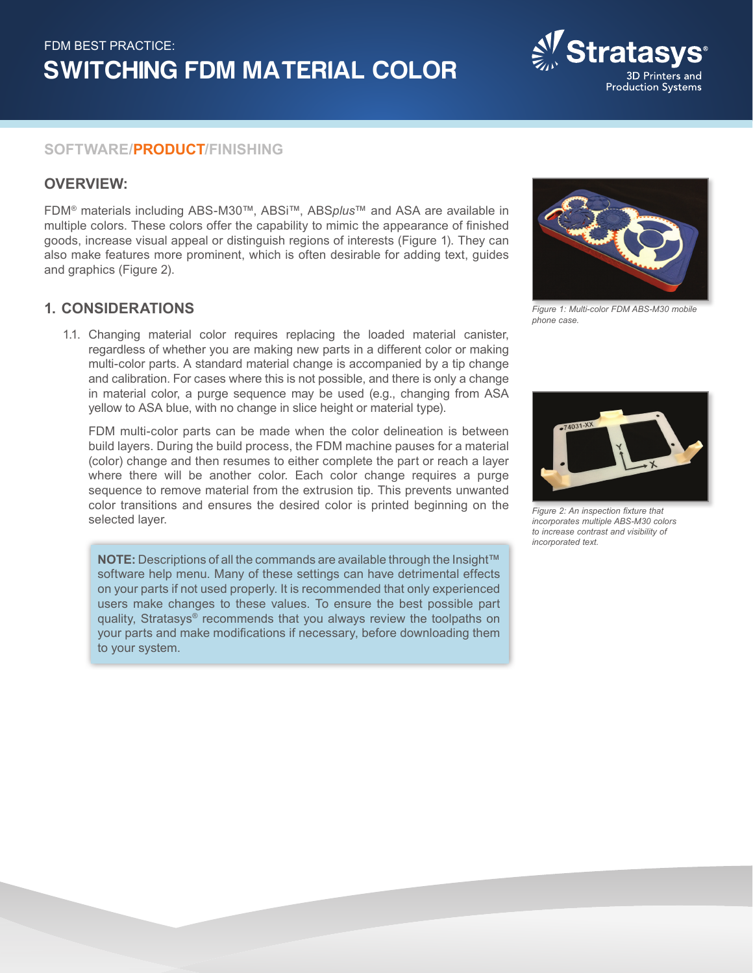

# **SOFTWARE/PRODUCT/FINISHING**

# **OVERVIEW:**

FDM® materials including ABS-M30™, ABSi™, ABS*plus*™ and ASA are available in multiple colors. These colors offer the capability to mimic the appearance of finished goods, increase visual appeal or distinguish regions of interests (Figure 1). They can also make features more prominent, which is often desirable for adding text, guides and graphics (Figure 2).

## **1. CONSIDERATIONS**

1.1. Changing material color requires replacing the loaded material canister, regardless of whether you are making new parts in a different color or making multi-color parts. A standard material change is accompanied by a tip change and calibration. For cases where this is not possible, and there is only a change in material color, a purge sequence may be used (e.g., changing from ASA yellow to ASA blue, with no change in slice height or material type).

FDM multi-color parts can be made when the color delineation is between build layers. During the build process, the FDM machine pauses for a material (color) change and then resumes to either complete the part or reach a layer where there will be another color. Each color change requires a purge sequence to remove material from the extrusion tip. This prevents unwanted color transitions and ensures the desired color is printed beginning on the selected layer.

**NOTE:** Descriptions of all the commands are available through the Insight™ software help menu. Many of these settings can have detrimental effects on your parts if not used properly. It is recommended that only experienced users make changes to these values. To ensure the best possible part quality, Stratasys® recommends that you always review the toolpaths on your parts and make modifications if necessary, before downloading them to your system.



*Figure 1: Multi-color FDM ABS-M30 mobile phone case.*



*Figure 2: An inspection fixture that incorporates multiple ABS-M30 colors to increase contrast and visibility of incorporated text.*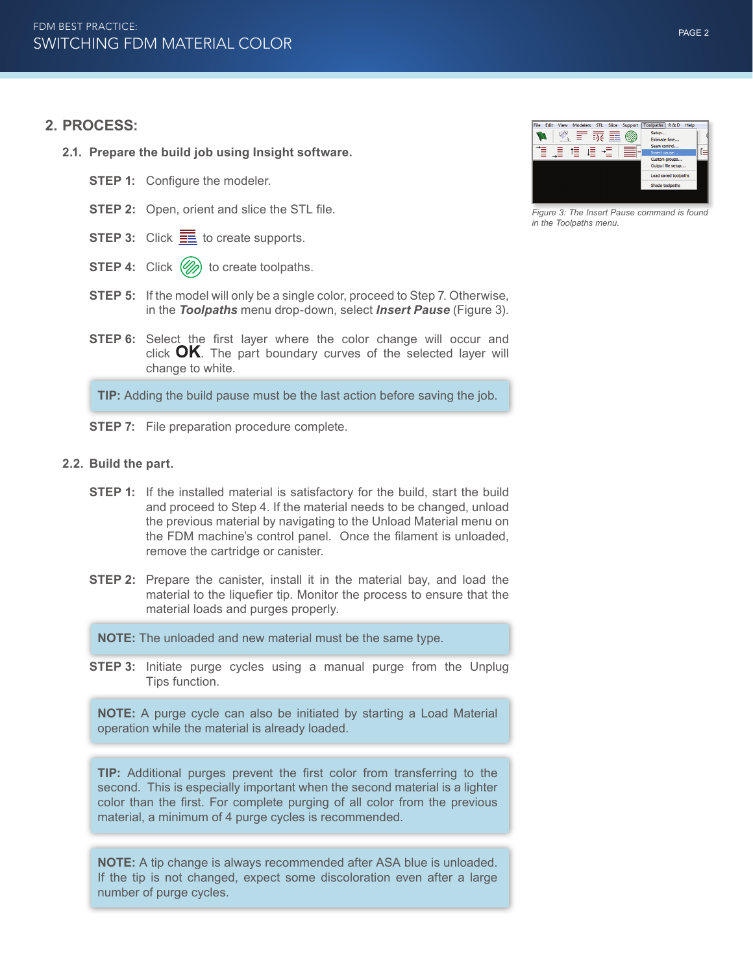#### **2. PROCESS:**

- **2.1. Prepare the build job using Insight software.**
	- **STEP 1:** Configure the modeler.
	- **STEP 2:** Open, orient and slice the STL file.
	- **STEP 3:** Click  $\equiv$  to create supports.
	- **STEP 4:** Click (%) to create toolpaths.
	- **STEP 5:** If the model will only be a single color, proceed to Step 7. Otherwise, in the *Toolpaths* menu drop-down, select *Insert Pause* (Figure 3).
	- **STEP 6:** Select the first layer where the color change will occur and click  $OK$ . The part boundary curves of the selected layer will change to white.

**TIP:** Adding the build pause must be the last action before saving the job.

- **STEP 7:** File preparation procedure complete.
- **2.2. Build the part.**
	- **STEP 1:** If the installed material is satisfactory for the build, start the build and proceed to Step 4. If the material needs to be changed, unload the previous material by navigating to the Unload Material menu on the FDM machine's control panel. Once the filament is unloaded, remove the cartridge or canister.
	- **STEP 2:** Prepare the canister, install it in the material bay, and load the material to the liquefier tip. Monitor the process to ensure that the material loads and purges properly.

**NOTE:** The unloaded and new material must be the same type.

**STEP 3:** Initiate purge cycles using a manual purge from the Unplug Tips function.

**NOTE:** A purge cycle can also be initiated by starting a Load Material operation while the material is already loaded.

**TIP:** Additional purges prevent the first color from transferring to the second. This is especially important when the second material is a lighter color than the first. For complete purging of all color from the previous material, a minimum of 4 purge cycles is recommended.

**NOTE:** A tip change is always recommended after ASA blue is unloaded. If the tip is not changed, expect some discoloration even after a large number of purge cycles.



*Figure 3: The Insert Pause command is found in the Toolpaths menu.*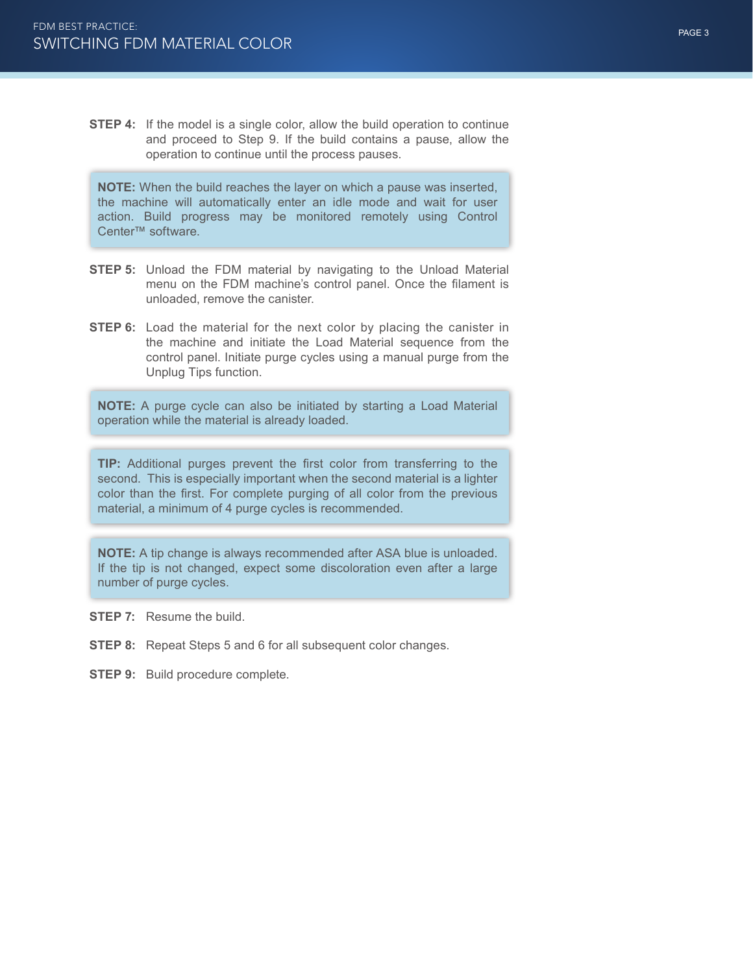**STEP 4:** If the model is a single color, allow the build operation to continue and proceed to Step 9. If the build contains a pause, allow the operation to continue until the process pauses.

**NOTE:** When the build reaches the layer on which a pause was inserted, the machine will automatically enter an idle mode and wait for user action. Build progress may be monitored remotely using Control Center™ software.

- **STEP 5:** Unload the FDM material by navigating to the Unload Material menu on the FDM machine's control panel. Once the filament is unloaded, remove the canister.
- **STEP 6:** Load the material for the next color by placing the canister in the machine and initiate the Load Material sequence from the control panel. Initiate purge cycles using a manual purge from the Unplug Tips function.

**NOTE:** A purge cycle can also be initiated by starting a Load Material operation while the material is already loaded.

**TIP:** Additional purges prevent the first color from transferring to the second. This is especially important when the second material is a lighter color than the first. For complete purging of all color from the previous material, a minimum of 4 purge cycles is recommended.

**NOTE:** A tip change is always recommended after ASA blue is unloaded. If the tip is not changed, expect some discoloration even after a large number of purge cycles.

- **STEP 7:** Resume the build.
- **STEP 8:** Repeat Steps 5 and 6 for all subsequent color changes.
- **STEP 9:** Build procedure complete.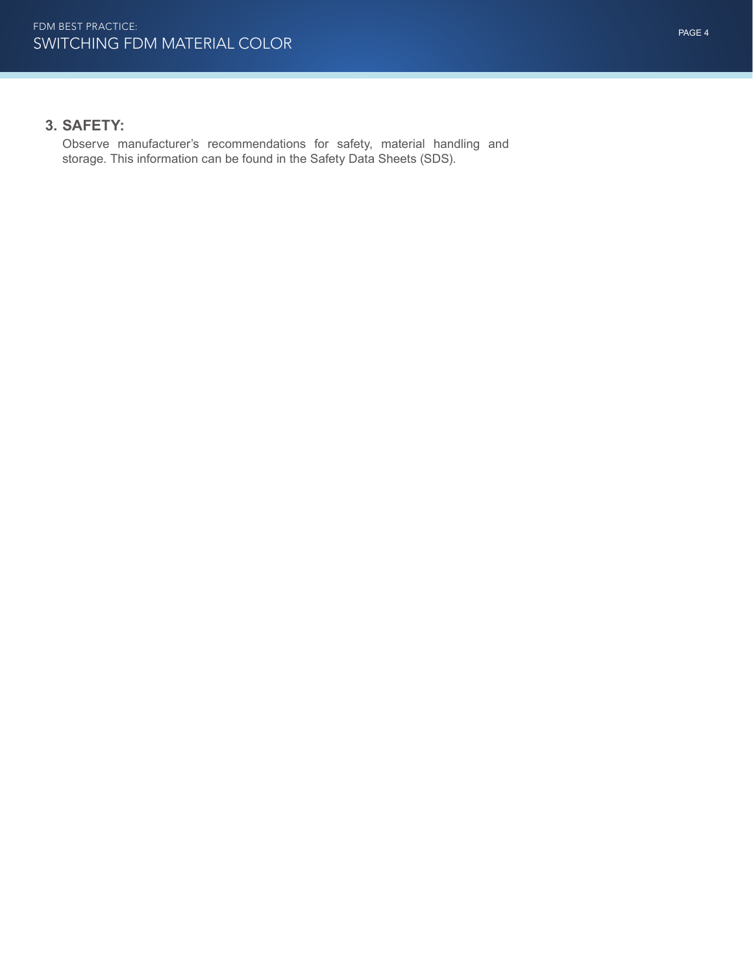# **3. SAFETY:**

Observe manufacturer's recommendations for safety, material handling and storage. This information can be found in the Safety Data Sheets (SDS).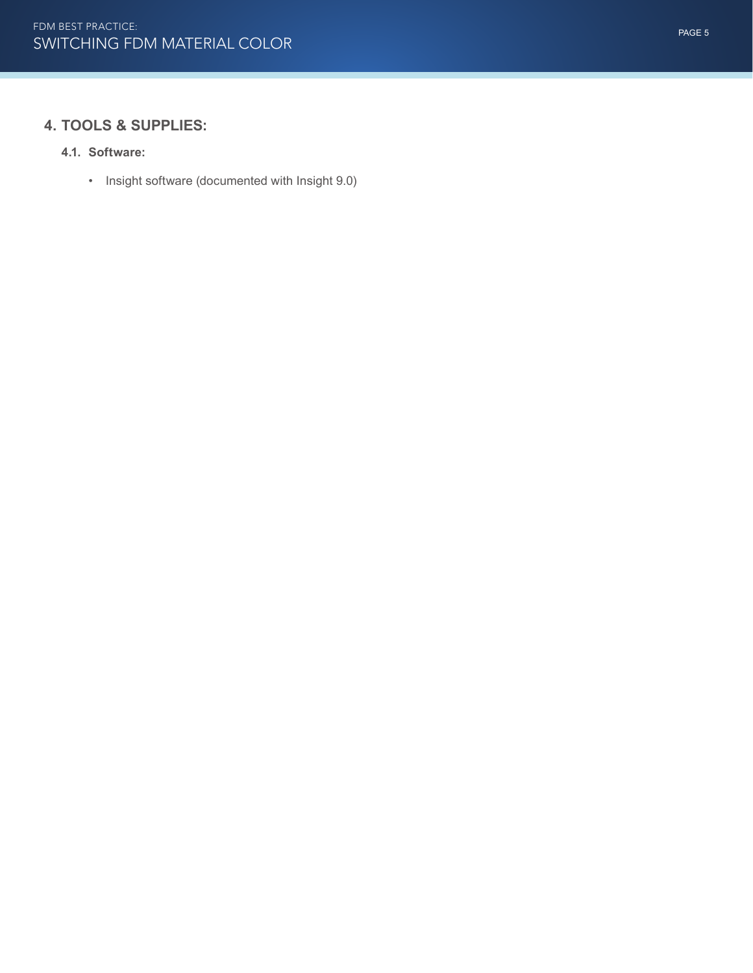# **4. TOOLS & SUPPLIES:**

#### **4.1. Software:**

• Insight software (documented with Insight 9.0)